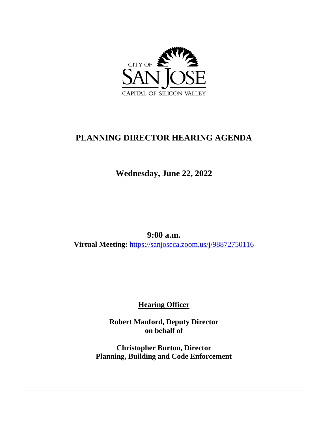

# **PLANNING DIRECTOR HEARING AGENDA**

**Wednesday, June 22, 2022**

**9:00 a.m. Virtual Meeting:** <https://sanjoseca.zoom.us/j/98872750116>

**Hearing Officer**

**Robert Manford, Deputy Director on behalf of**

**Christopher Burton, Director Planning, Building and Code Enforcement**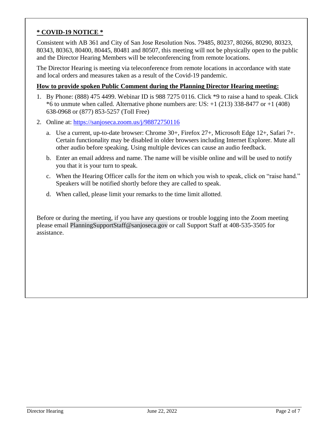#### **\* COVID-19 NOTICE \***

Consistent with AB 361 and City of San Jose Resolution Nos. 79485, 80237, 80266, 80290, 80323, 80343, 80363, 80400, 80445, 80481 and 80507, this meeting will not be physically open to the public and the Director Hearing Members will be teleconferencing from remote locations.

The Director Hearing is meeting via teleconference from remote locations in accordance with state and local orders and measures taken as a result of the Covid-19 pandemic.

#### **How to provide spoken Public Comment during the Planning Director Hearing meeting:**

- 1. By Phone: (888) 475 4499. Webinar ID is 988 7275 0116. Click \*9 to raise a hand to speak. Click  $*6$  to unmute when called. Alternative phone numbers are: US:  $+1$  (213) 338-8477 or  $+1$  (408) 638-0968 or (877) 853-5257 (Toll Free)
- 2. Online at:<https://sanjoseca.zoom.us/j/98872750116>
	- a. Use a current, up-to-date browser: Chrome 30+, Firefox 27+, Microsoft Edge 12+, Safari 7+. Certain functionality may be disabled in older browsers including Internet Explorer. Mute all other audio before speaking. Using multiple devices can cause an audio feedback.
	- b. Enter an email address and name. The name will be visible online and will be used to notify you that it is your turn to speak.
	- c. When the Hearing Officer calls for the item on which you wish to speak, click on "raise hand." Speakers will be notified shortly before they are called to speak.
	- d. When called, please limit your remarks to the time limit allotted.

Before or during the meeting, if you have any questions or trouble logging into the Zoom meeting please email [PlanningSupportStaff@sanjoseca.gov](mailto:PlanningSupportStaff@sanjoseca.gov) or call Support Staff at 408-535-3505 for assistance.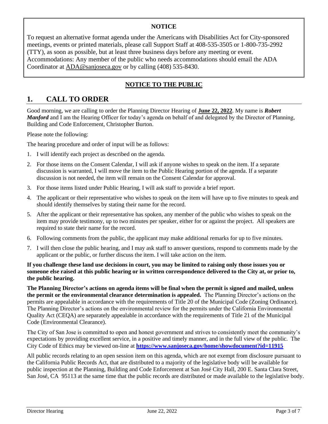#### **NOTICE**

To request an alternative format agenda under the Americans with Disabilities Act for City-sponsored meetings, events or printed materials, please call Support Staff at 408-535-3505 or 1-800-735-2992 (TTY), as soon as possible, but at least three business days before any meeting or event. Accommodations: Any member of the public who needs accommodations should email the ADA Coordinator at [ADA@sanjoseca.gov](mailto:ADA@sanjoseca.gov) or by calling (408) 535-8430.

### **NOTICE TO THE PUBLIC**

## **1. CALL TO ORDER**

Good morning, we are calling to order the Planning Director Hearing of **June 22, 2022**. My name is *Robert Manford* and I am the Hearing Officer for today's agenda on behalf of and delegated by the Director of Planning, Building and Code Enforcement, Christopher Burton.

Please note the following:

The hearing procedure and order of input will be as follows:

- 1. I will identify each project as described on the agenda.
- 2. For those items on the Consent Calendar, I will ask if anyone wishes to speak on the item. If a separate discussion is warranted, I will move the item to the Public Hearing portion of the agenda. If a separate discussion is not needed, the item will remain on the Consent Calendar for approval.
- 3. For those items listed under Public Hearing, I will ask staff to provide a brief report.
- 4. The applicant or their representative who wishes to speak on the item will have up to five minutes to speak and should identify themselves by stating their name for the record.
- 5. After the applicant or their representative has spoken, any member of the public who wishes to speak on the item may provide testimony, up to two minutes per speaker, either for or against the project. All speakers are required to state their name for the record.
- 6. Following comments from the public, the applicant may make additional remarks for up to five minutes.
- 7. I will then close the public hearing, and I may ask staff to answer questions, respond to comments made by the applicant or the public, or further discuss the item. I will take action on the item.

**If you challenge these land use decisions in court, you may be limited to raising only those issues you or someone else raised at this public hearing or in written correspondence delivered to the City at, or prior to, the public hearing.**

**The Planning Director's actions on agenda items will be final when the permit is signed and mailed, unless the permit or the environmental clearance determination is appealed.** The Planning Director's actions on the permits are appealable in accordance with the requirements of Title 20 of the Municipal Code (Zoning Ordinance). The Planning Director's actions on the environmental review for the permits under the California Environmental Quality Act (CEQA) are separately appealable in accordance with the requirements of Title 21 of the Municipal Code (Environmental Clearance).

The City of San Jose is committed to open and honest government and strives to consistently meet the community's expectations by providing excellent service, in a positive and timely manner, and in the full view of the public. The City Code of Ethics may be viewed on-line at **<https://www.sanjoseca.gov/home/showdocument?id=11915>**

All public records relating to an open session item on this agenda, which are not exempt from disclosure pursuant to the California Public Records Act, that are distributed to a majority of the legislative body will be available for public inspection at the Planning, Building and Code Enforcement at San José City Hall, 200 E. Santa Clara Street, San José, CA 95113 at the same time that the public records are distributed or made available to the legislative body.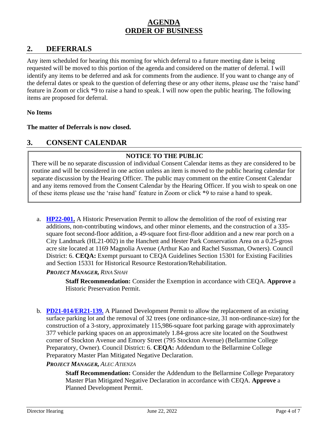## **AGENDA ORDER OF BUSINESS**

## **2. DEFERRALS**

Any item scheduled for hearing this morning for which deferral to a future meeting date is being requested will be moved to this portion of the agenda and considered on the matter of deferral. I will identify any items to be deferred and ask for comments from the audience. If you want to change any of the deferral dates or speak to the question of deferring these or any other items, please use the 'raise hand' feature in Zoom or click \*9 to raise a hand to speak. I will now open the public hearing. The following items are proposed for deferral.

#### **No Items**

#### **The matter of Deferrals is now closed.**

## **3. CONSENT CALENDAR**

### **NOTICE TO THE PUBLIC**

There will be no separate discussion of individual Consent Calendar items as they are considered to be routine and will be considered in one action unless an item is moved to the public hearing calendar for separate discussion by the Hearing Officer. The public may comment on the entire Consent Calendar and any items removed from the Consent Calendar by the Hearing Officer. If you wish to speak on one of these items please use the 'raise hand' feature in Zoom or click \*9 to raise a hand to speak.

a. **[HP22-001.](https://www.sanjoseca.gov/home/showdocument?id=87043&t=637908790979673549)** A Historic Preservation Permit to allow the demolition of the roof of existing rear additions, non-contributing windows, and other minor elements, and the construction of a 335 square foot second-floor addition, a 49-square foot first-floor addition and a new rear porch on a City Landmark (HL21-002) in the Hanchett and Hester Park Conservation Area on a 0.25-gross acre site located at 1169 Magnolia Avenue (Arthur Kao and Rachel Sussman, Owners). Council District: 6. **CEQA:** Exempt pursuant to CEQA Guidelines Section 15301 for Existing Facilities and Section 15331 for Historical Resource Restoration/Rehabilitation.

#### *PROJECT MANAGER, RINA SHAH*

**Staff Recommendation:** Consider the Exemption in accordance with CEQA. **Approve** a Historic Preservation Permit.

b. **[PD21-014/ER21-139.](https://www.sanjoseca.gov/home/showdocument?id=87047&t=637908790992798593)** A Planned Development Permit to allow the replacement of an existing surface parking lot and the removal of 32 trees (one ordinance-size, 31 non-ordinance-size) for the construction of a 3-story, approximately 115,986-square foot parking garage with approximately 377 vehicle parking spaces on an approximately 1.84-gross acre site located on the Southwest corner of Stockton Avenue and Emory Street (795 Stockton Avenue) (Bellarmine College Preparatory, Owner). Council District: 6. **CEQA:** Addendum to the Bellarmine College Preparatory Master Plan Mitigated Negative Declaration.

#### *PROJECT MANAGER, ALEC ATIENZA*

**Staff Recommendation:** Consider the Addendum to the Bellarmine College Preparatory Master Plan Mitigated Negative Declaration in accordance with CEQA. **Approve** a Planned Development Permit.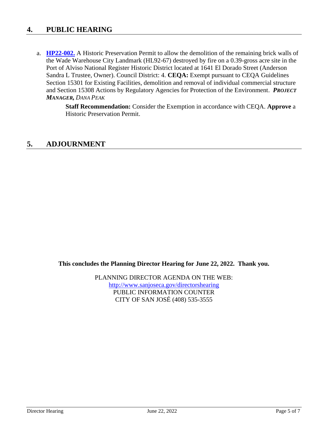## **4. PUBLIC HEARING**

a. **[HP22-002.](https://www.sanjoseca.gov/home/showdocument?id=87045&t=637908825480786954)** A Historic Preservation Permit to allow the demolition of the remaining brick walls of the Wade Warehouse City Landmark (HL92-67) destroyed by fire on a 0.39-gross acre site in the Port of Alviso National Register Historic District located at 1641 El Dorado Street (Anderson Sandra L Trustee, Owner). Council District: 4. **CEQA:** Exempt pursuant to CEQA Guidelines Section 15301 for Existing Facilities, demolition and removal of individual commercial structure and Section 15308 Actions by Regulatory Agencies for Protection of the Environment. *PROJECT MANAGER, DANA PEAK*

> **Staff Recommendation:** Consider the Exemption in accordance with CEQA. **Approve** a Historic Preservation Permit.

## **5. ADJOURNMENT**

**This concludes the Planning Director Hearing for June 22, 2022. Thank you.**

PLANNING DIRECTOR AGENDA ON THE WEB: <http://www.sanjoseca.gov/directorshearing> PUBLIC INFORMATION COUNTER CITY OF SAN JOSÉ (408) 535-3555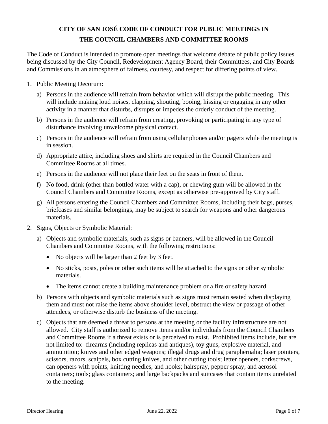## **CITY OF SAN JOSÉ CODE OF CONDUCT FOR PUBLIC MEETINGS IN THE COUNCIL CHAMBERS AND COMMITTEE ROOMS**

The Code of Conduct is intended to promote open meetings that welcome debate of public policy issues being discussed by the City Council, Redevelopment Agency Board, their Committees, and City Boards and Commissions in an atmosphere of fairness, courtesy, and respect for differing points of view.

- 1. Public Meeting Decorum:
	- a) Persons in the audience will refrain from behavior which will disrupt the public meeting. This will include making loud noises, clapping, shouting, booing, hissing or engaging in any other activity in a manner that disturbs, disrupts or impedes the orderly conduct of the meeting.
	- b) Persons in the audience will refrain from creating, provoking or participating in any type of disturbance involving unwelcome physical contact.
	- c) Persons in the audience will refrain from using cellular phones and/or pagers while the meeting is in session.
	- d) Appropriate attire, including shoes and shirts are required in the Council Chambers and Committee Rooms at all times.
	- e) Persons in the audience will not place their feet on the seats in front of them.
	- f) No food, drink (other than bottled water with a cap), or chewing gum will be allowed in the Council Chambers and Committee Rooms, except as otherwise pre-approved by City staff.
	- g) All persons entering the Council Chambers and Committee Rooms, including their bags, purses, briefcases and similar belongings, may be subject to search for weapons and other dangerous materials.
- 2. Signs, Objects or Symbolic Material:
	- a) Objects and symbolic materials, such as signs or banners, will be allowed in the Council Chambers and Committee Rooms, with the following restrictions:
		- No objects will be larger than 2 feet by 3 feet.
		- No sticks, posts, poles or other such items will be attached to the signs or other symbolic materials.
		- The items cannot create a building maintenance problem or a fire or safety hazard.
	- b) Persons with objects and symbolic materials such as signs must remain seated when displaying them and must not raise the items above shoulder level, obstruct the view or passage of other attendees, or otherwise disturb the business of the meeting.
	- c) Objects that are deemed a threat to persons at the meeting or the facility infrastructure are not allowed. City staff is authorized to remove items and/or individuals from the Council Chambers and Committee Rooms if a threat exists or is perceived to exist. Prohibited items include, but are not limited to: firearms (including replicas and antiques), toy guns, explosive material, and ammunition; knives and other edged weapons; illegal drugs and drug paraphernalia; laser pointers, scissors, razors, scalpels, box cutting knives, and other cutting tools; letter openers, corkscrews, can openers with points, knitting needles, and hooks; hairspray, pepper spray, and aerosol containers; tools; glass containers; and large backpacks and suitcases that contain items unrelated to the meeting.